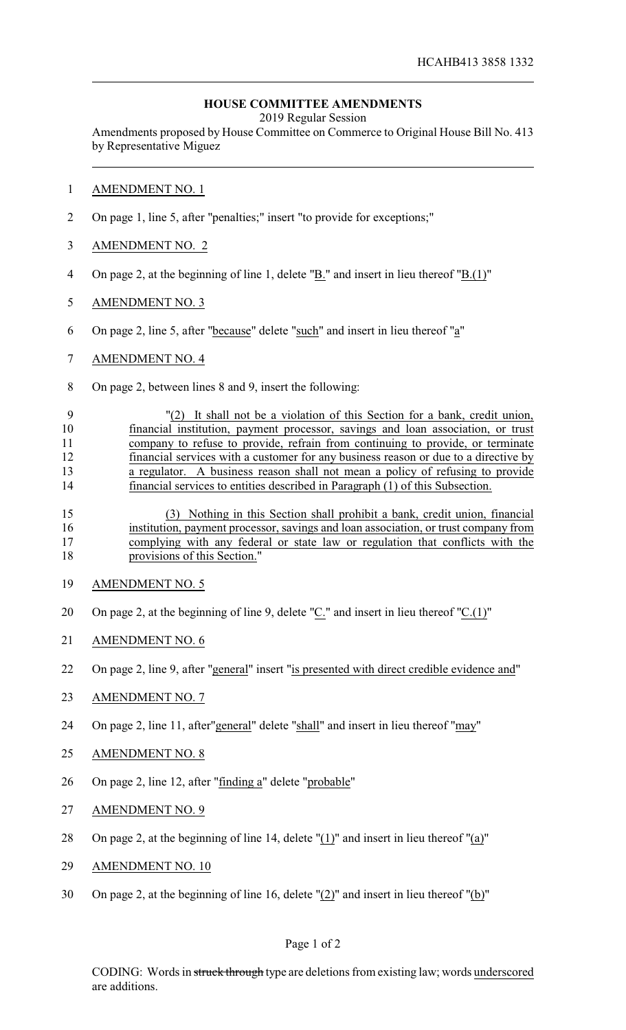## **HOUSE COMMITTEE AMENDMENTS**

2019 Regular Session

Amendments proposed by House Committee on Commerce to Original House Bill No. 413 by Representative Miguez

## AMENDMENT NO. 1

- On page 1, line 5, after "penalties;" insert "to provide for exceptions;"
- AMENDMENT NO. 2
- On page 2, at the beginning of line 1, delete "B." and insert in lieu thereof "B.(1)"
- AMENDMENT NO. 3
- On page 2, line 5, after "because" delete "such" and insert in lieu thereof "a"
- AMENDMENT NO. 4
- On page 2, between lines 8 and 9, insert the following:

 "(2) It shall not be a violation of this Section for a bank, credit union, financial institution, payment processor, savings and loan association, or trust company to refuse to provide, refrain from continuing to provide, or terminate financial services with a customer for any business reason or due to a directive by a regulator. A business reason shall not mean a policy of refusing to provide financial services to entities described in Paragraph (1) of this Subsection.

 (3) Nothing in this Section shall prohibit a bank, credit union, financial institution, payment processor, savings and loan association, or trust company from complying with any federal or state law or regulation that conflicts with the provisions of this Section."

- AMENDMENT NO. 5
- 20 On page 2, at the beginning of line 9, delete "C." and insert in lieu thereof "C.(1)"
- AMENDMENT NO. 6
- On page 2, line 9, after "general" insert "is presented with direct credible evidence and"
- AMENDMENT NO. 7
- 24 On page 2, line 11, after"general" delete "shall" and insert in lieu thereof "may"
- AMENDMENT NO. 8
- On page 2, line 12, after "finding a" delete "probable"
- AMENDMENT NO. 9
- 28 On page 2, at the beginning of line 14, delete " $(1)$ " and insert in lieu thereof " $(a)$ "
- AMENDMENT NO. 10
- On page 2, at the beginning of line 16, delete "(2)" and insert in lieu thereof "(b)"